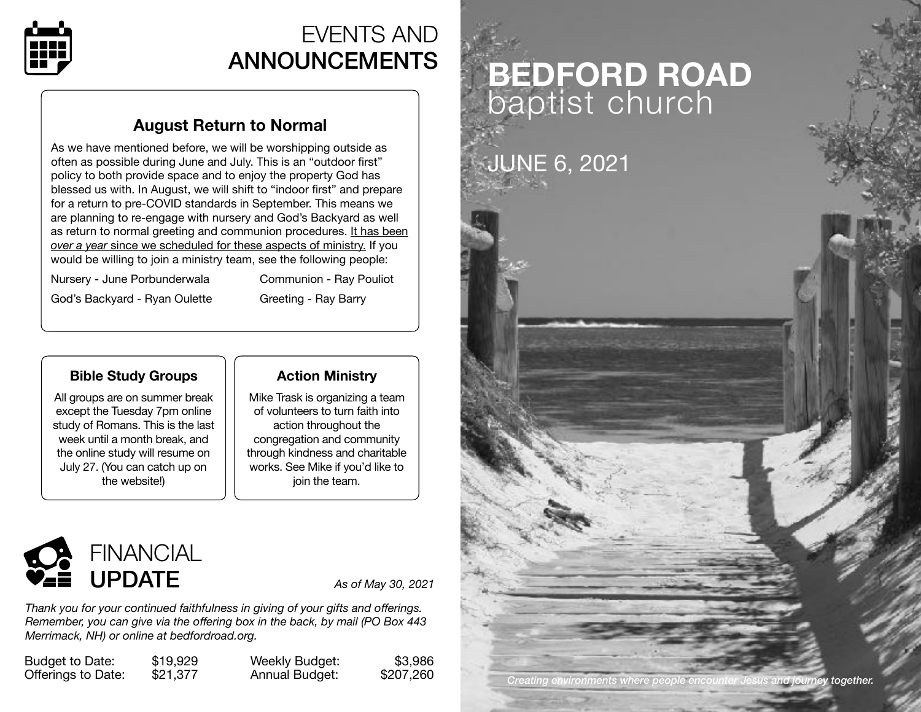

## EVENTS AND ANNOUNCEMENTS

## **August Return to Normal**

As we have mentioned before, we will be worshipping outside as often as possible during June and July. This is an "outdoor first" policy to both provide space and to enjoy the property God has blessed us with. In August, we will shift to "indoor first" and prepare for a return to pre-COVID standards in September. This means we are planning to re-engage with nursery and God's Backyard as well as return to normal greeting and communion procedures. It has been *over a year* since we scheduled for these aspects of ministry. If you would be willing to join a ministry team, see the following people:

Nursery - June Porbunderwala Communion - Ray Pouliot

God's Backyard - Ryan Oulette **Greeting - Ray Barry** 

### **Bible Study Groups**

All groups are on summer break except the Tuesday 7pm online study of Romans. This is the last week until a month break, and the online study will resume on July 27. (You can catch up on the website!)

#### **Action Ministry**

Mike Trask is organizing a team of volunteers to turn faith into action throughout the congregation and community through kindness and charitable works. See Mike if you'd like to join the team.



*Thank you for your continued faithfulness in giving of your gifts and offerings. Remember, you can give via the offering box in the back, by mail (PO Box 443 Merrimack, NH) or online at [bedfordroad.org.](http://bedfordroad.org)*

Budget to Date: \$19,929 Offerings to Date: \$21,377 Weekly Budget: Annual Budget:

| \$3,986   |  |
|-----------|--|
| \$207,260 |  |

# **BEDFORD ROAD**  baptist church

JUNE 6, 2021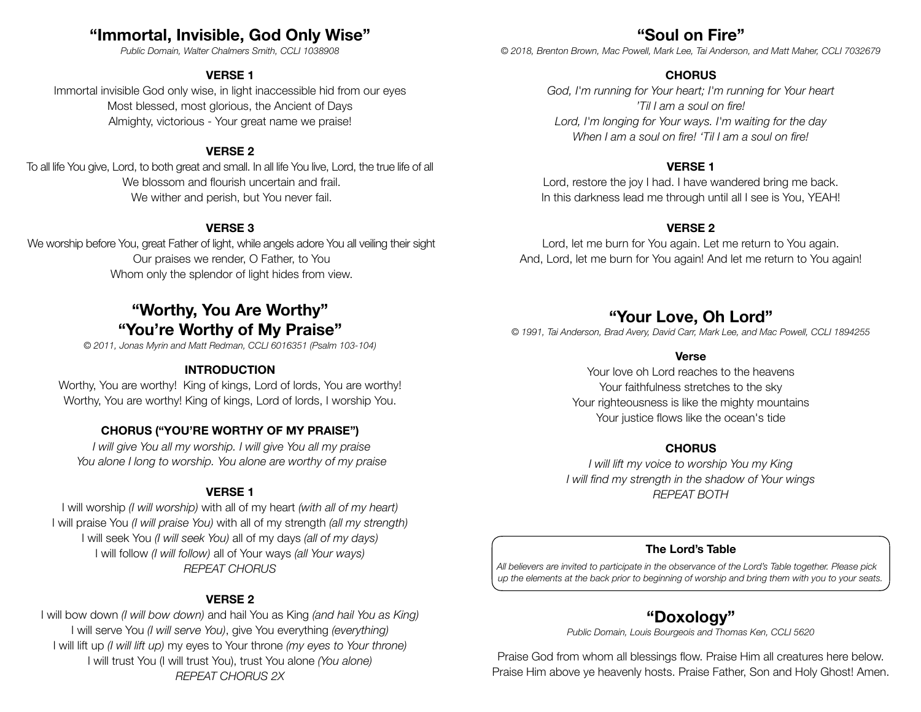## **"Immortal, Invisible, God Only Wise"**

*Public Domain, Walter Chalmers Smith, CCLI 1038908*

#### **VERSE 1**

Immortal invisible God only wise, in light inaccessible hid from our eyes Most blessed, most glorious, the Ancient of Days Almighty, victorious - Your great name we praise!

#### **VERSE 2**

To all life You give, Lord, to both great and small. In all life You live, Lord, the true life of all We blossom and flourish uncertain and frail. We wither and perish, but You never fail.

#### **VERSE 3**

 We worship before You, great Father of light, while angels adore You all veiling their sight Our praises we render, O Father, to You Whom only the splendor of light hides from view.

## **"Worthy, You Are Worthy" "You're Worthy of My Praise"**

*© 2011, Jonas Myrin and Matt Redman, CCLI 6016351 (Psalm 103-104)*

#### **INTRODUCTION**

Worthy, You are worthy! King of kings, Lord of lords, You are worthy! Worthy, You are worthy! King of kings, Lord of lords, I worship You.

#### **CHORUS ("YOU'RE WORTHY OF MY PRAISE")**

 *I will give You all my worship. I will give You all my praise You alone I long to worship. You alone are worthy of my praise*

#### **VERSE 1**

I will worship *(I will worship)* with all of my heart *(with all of my heart)* I will praise You *(I will praise You)* with all of my strength *(all my strength)* I will seek You *(I will seek You)* all of my days *(all of my days)* I will follow *(I will follow)* all of Your ways *(all Your ways) REPEAT CHORUS*

#### **VERSE 2**

I will bow down *(I will bow down)* and hail You as King *(and hail You as King)* I will serve You *(I will serve You)*, give You everything *(everything)* I will lift up *(I will lift up)* my eyes to Your throne *(my eyes to Your throne)* I will trust You (I will trust You), trust You alone *(You alone) REPEAT CHORUS 2X*

## **"Soul on Fire"**

*© 2018, Brenton Brown, Mac Powell, Mark Lee, Tai Anderson, and Matt Maher, CCLI 7032679*

#### **CHORUS**

*God, I'm running for Your heart; I'm running for Your heart 'Til I am a soul on fire! Lord, I'm longing for Your ways. I'm waiting for the day When I am a soul on fire! 'Til I am a soul on fire!*

#### **VERSE 1**

Lord, restore the joy I had. I have wandered bring me back. In this darkness lead me through until all I see is You, YEAH!

#### **VERSE 2**

Lord, let me burn for You again. Let me return to You again. And, Lord, let me burn for You again! And let me return to You again!

## **"Your Love, Oh Lord"**

*© 1991, Tai Anderson, Brad Avery, David Carr, Mark Lee, and Mac Powell, CCLI 1894255*

#### **Verse**

Your love oh Lord reaches to the heavens Your faithfulness stretches to the sky Your righteousness is like the mighty mountains Your justice flows like the ocean's tide

#### **CHORUS**

*I will lift my voice to worship You my King I will find my strength in the shadow of Your wings REPEAT BOTH*

#### **The Lord's Table**

*All believers are invited to participate in the observance of the Lord's Table together. Please pick up the elements at the back prior to beginning of worship and bring them with you to your seats.*

## **"Doxology"**

*Public Domain, Louis Bourgeois and Thomas Ken, CCLI 5620*

Praise God from whom all blessings flow. Praise Him all creatures here below. Praise Him above ye heavenly hosts. Praise Father, Son and Holy Ghost! Amen.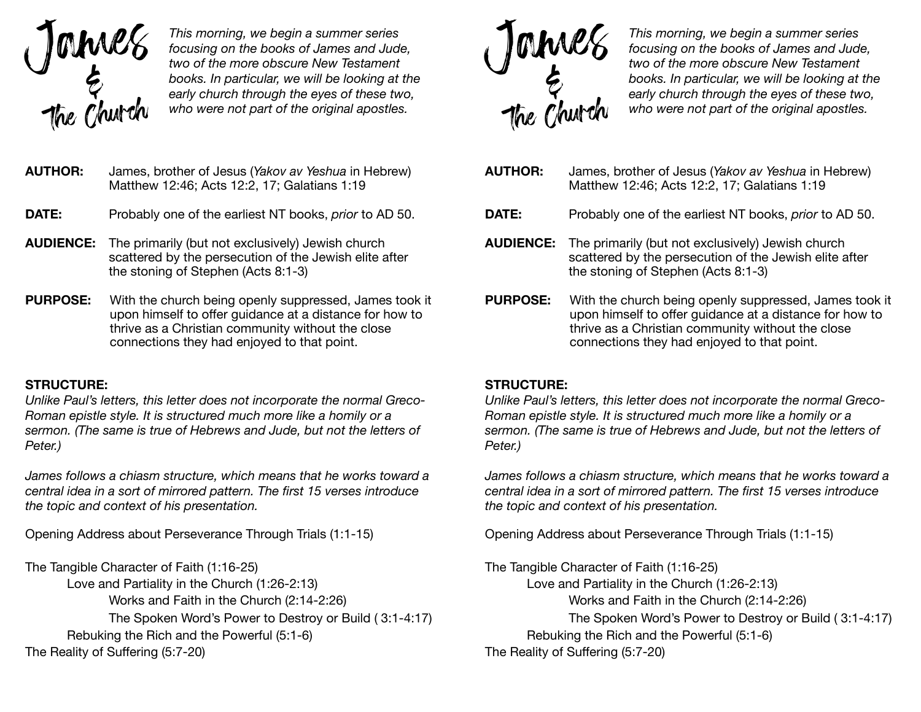Ja**hves**<br>The Church

*This morning, we begin a summer series focusing on the books of James and Jude, two of the more obscure New Testament books. In particular, we will be looking at the early church through the eyes of these two, who were not part of the original apostles.*

| <b>AUTHOR:</b> | James, brother of Jesus (Yakov av Yeshua in Hebrew)<br>Matthew 12:46; Acts 12:2, 17; Galatians 1:19 |
|----------------|-----------------------------------------------------------------------------------------------------|
|                |                                                                                                     |

- **DATE:** Probably one of the earliest NT books, *prior* to AD 50.
- **AUDIENCE:** The primarily (but not exclusively) Jewish church scattered by the persecution of the Jewish elite after the stoning of Stephen (Acts 8:1-3)
- **PURPOSE:** With the church being openly suppressed, James took it upon himself to offer guidance at a distance for how to thrive as a Christian community without the close connections they had enjoyed to that point.

#### **STRUCTURE:**

*Unlike Paul's letters, this letter does not incorporate the normal Greco-Roman epistle style. It is structured much more like a homily or a sermon. (The same is true of Hebrews and Jude, but not the letters of Peter.)* 

*James follows a chiasm structure, which means that he works toward a central idea in a sort of mirrored pattern. The first 15 verses introduce the topic and context of his presentation.* 

Opening Address about Perseverance Through Trials (1:1-15)

The Tangible Character of Faith (1:16-25) Love and Partiality in the Church (1:26-2:13) Works and Faith in the Church (2:14-2:26) The Spoken Word's Power to Destroy or Build ( 3:1-4:17) Rebuking the Rich and the Powerful (5:1-6) The Reality of Suffering (5:7-20)



*This morning, we begin a summer series focusing on the books of James and Jude, two of the more obscure New Testament books. In particular, we will be looking at the early church through the eyes of these two, who were not part of the original apostles.*

| <b>AUTHOR:</b>   | James, brother of Jesus (Yakov av Yeshua in Hebrew)<br>Matthew 12:46; Acts 12:2, 17; Galatians 1:19                                                                    |
|------------------|------------------------------------------------------------------------------------------------------------------------------------------------------------------------|
| <b>DATE:</b>     | Probably one of the earliest NT books, prior to AD 50.                                                                                                                 |
| <b>AUDIENCE:</b> | The primarily (but not exclusively) Jewish church<br>scattered by the persecution of the Jewish elite after<br>the stoning of Stephen (Acts 8:1-3)                     |
| <b>PURPOSE:</b>  | With the church being openly suppressed, James took it<br>upon himself to offer guidance at a distance for how to<br>thrive as a Christian community without the close |

#### **STRUCTURE:**

*Unlike Paul's letters, this letter does not incorporate the normal Greco-Roman epistle style. It is structured much more like a homily or a sermon. (The same is true of Hebrews and Jude, but not the letters of Peter.)* 

connections they had enjoyed to that point.

*James follows a chiasm structure, which means that he works toward a central idea in a sort of mirrored pattern. The first 15 verses introduce the topic and context of his presentation.* 

Opening Address about Perseverance Through Trials (1:1-15)

The Tangible Character of Faith (1:16-25) Love and Partiality in the Church (1:26-2:13) Works and Faith in the Church (2:14-2:26) The Spoken Word's Power to Destroy or Build ( 3:1-4:17) Rebuking the Rich and the Powerful (5:1-6) The Reality of Suffering (5:7-20)